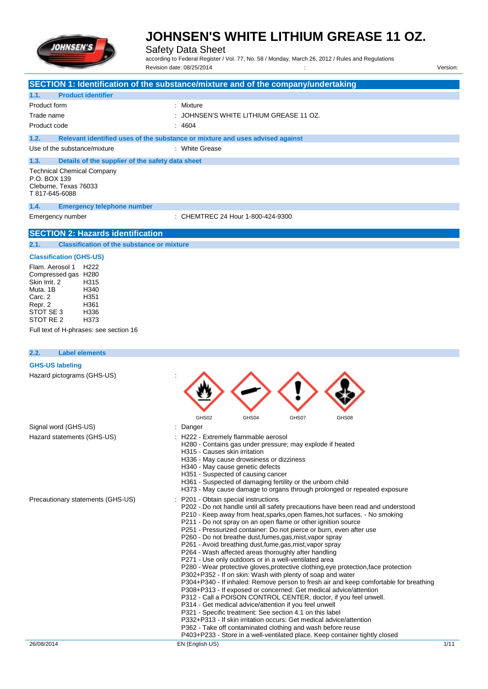

Safety Data Sheet

according to Federal Register / Vol. 77, No. 58 / Monday, March 26, 2012 / Rules and Regulations Revision date: 08/25/2014 / Version:

|                                                                                                                                                                                                     | SECTION 1: Identification of the substance/mixture and of the company/undertaking                                                                                                                                                                                                                                                                                                                                                                                                                                                                                                                                                                                                                                                                                                                                                                                                                                                                                                                                                                                                                                                                                                                                                                                                                                         |
|-----------------------------------------------------------------------------------------------------------------------------------------------------------------------------------------------------|---------------------------------------------------------------------------------------------------------------------------------------------------------------------------------------------------------------------------------------------------------------------------------------------------------------------------------------------------------------------------------------------------------------------------------------------------------------------------------------------------------------------------------------------------------------------------------------------------------------------------------------------------------------------------------------------------------------------------------------------------------------------------------------------------------------------------------------------------------------------------------------------------------------------------------------------------------------------------------------------------------------------------------------------------------------------------------------------------------------------------------------------------------------------------------------------------------------------------------------------------------------------------------------------------------------------------|
| <b>Product identifier</b><br>1.1.                                                                                                                                                                   |                                                                                                                                                                                                                                                                                                                                                                                                                                                                                                                                                                                                                                                                                                                                                                                                                                                                                                                                                                                                                                                                                                                                                                                                                                                                                                                           |
| Product form                                                                                                                                                                                        | : Mixture                                                                                                                                                                                                                                                                                                                                                                                                                                                                                                                                                                                                                                                                                                                                                                                                                                                                                                                                                                                                                                                                                                                                                                                                                                                                                                                 |
| Trade name<br>Product code                                                                                                                                                                          | JOHNSEN'S WHITE LITHIUM GREASE 11 OZ.<br>: 4604                                                                                                                                                                                                                                                                                                                                                                                                                                                                                                                                                                                                                                                                                                                                                                                                                                                                                                                                                                                                                                                                                                                                                                                                                                                                           |
|                                                                                                                                                                                                     |                                                                                                                                                                                                                                                                                                                                                                                                                                                                                                                                                                                                                                                                                                                                                                                                                                                                                                                                                                                                                                                                                                                                                                                                                                                                                                                           |
| 1.2.<br>Use of the substance/mixture                                                                                                                                                                | Relevant identified uses of the substance or mixture and uses advised against<br>: White Grease                                                                                                                                                                                                                                                                                                                                                                                                                                                                                                                                                                                                                                                                                                                                                                                                                                                                                                                                                                                                                                                                                                                                                                                                                           |
|                                                                                                                                                                                                     |                                                                                                                                                                                                                                                                                                                                                                                                                                                                                                                                                                                                                                                                                                                                                                                                                                                                                                                                                                                                                                                                                                                                                                                                                                                                                                                           |
| 1.3.<br>Details of the supplier of the safety data sheet<br><b>Technical Chemical Company</b><br>P.O. BOX 139<br>Cleburne, Texas 76033<br>T 817-645-6088                                            |                                                                                                                                                                                                                                                                                                                                                                                                                                                                                                                                                                                                                                                                                                                                                                                                                                                                                                                                                                                                                                                                                                                                                                                                                                                                                                                           |
| 1.4.<br><b>Emergency telephone number</b>                                                                                                                                                           |                                                                                                                                                                                                                                                                                                                                                                                                                                                                                                                                                                                                                                                                                                                                                                                                                                                                                                                                                                                                                                                                                                                                                                                                                                                                                                                           |
| Emergency number                                                                                                                                                                                    | : CHEMTREC 24 Hour 1-800-424-9300                                                                                                                                                                                                                                                                                                                                                                                                                                                                                                                                                                                                                                                                                                                                                                                                                                                                                                                                                                                                                                                                                                                                                                                                                                                                                         |
| <b>SECTION 2: Hazards identification</b>                                                                                                                                                            |                                                                                                                                                                                                                                                                                                                                                                                                                                                                                                                                                                                                                                                                                                                                                                                                                                                                                                                                                                                                                                                                                                                                                                                                                                                                                                                           |
| 2.1.<br><b>Classification of the substance or mixture</b>                                                                                                                                           |                                                                                                                                                                                                                                                                                                                                                                                                                                                                                                                                                                                                                                                                                                                                                                                                                                                                                                                                                                                                                                                                                                                                                                                                                                                                                                                           |
| <b>Classification (GHS-US)</b>                                                                                                                                                                      |                                                                                                                                                                                                                                                                                                                                                                                                                                                                                                                                                                                                                                                                                                                                                                                                                                                                                                                                                                                                                                                                                                                                                                                                                                                                                                                           |
| Flam, Aerosol 1<br>H <sub>222</sub><br>Compressed gas H280<br>Skin Irrit, 2<br>H315<br>Muta, 1B<br>H <sub>340</sub><br>H351<br>Carc. 2<br>H361<br>Repr. 2<br>STOT SE 3<br>H336<br>STOT RE 2<br>H373 |                                                                                                                                                                                                                                                                                                                                                                                                                                                                                                                                                                                                                                                                                                                                                                                                                                                                                                                                                                                                                                                                                                                                                                                                                                                                                                                           |
| Full text of H-phrases: see section 16                                                                                                                                                              |                                                                                                                                                                                                                                                                                                                                                                                                                                                                                                                                                                                                                                                                                                                                                                                                                                                                                                                                                                                                                                                                                                                                                                                                                                                                                                                           |
| <b>Label elements</b><br>2.2.                                                                                                                                                                       |                                                                                                                                                                                                                                                                                                                                                                                                                                                                                                                                                                                                                                                                                                                                                                                                                                                                                                                                                                                                                                                                                                                                                                                                                                                                                                                           |
| <b>GHS-US labeling</b>                                                                                                                                                                              |                                                                                                                                                                                                                                                                                                                                                                                                                                                                                                                                                                                                                                                                                                                                                                                                                                                                                                                                                                                                                                                                                                                                                                                                                                                                                                                           |
| Hazard pictograms (GHS-US)                                                                                                                                                                          | GHS02<br>GHS04<br>GHS08<br>GHS07                                                                                                                                                                                                                                                                                                                                                                                                                                                                                                                                                                                                                                                                                                                                                                                                                                                                                                                                                                                                                                                                                                                                                                                                                                                                                          |
| Signal word (GHS-US)                                                                                                                                                                                | : Danger                                                                                                                                                                                                                                                                                                                                                                                                                                                                                                                                                                                                                                                                                                                                                                                                                                                                                                                                                                                                                                                                                                                                                                                                                                                                                                                  |
| Hazard statements (GHS-US)                                                                                                                                                                          | H222 - Extremely flammable aerosol<br>H280 - Contains gas under pressure; may explode if heated<br>H315 - Causes skin irritation<br>H336 - May cause drowsiness or dizziness<br>H340 - May cause genetic defects<br>H351 - Suspected of causing cancer<br>H361 - Suspected of damaging fertility or the unborn child<br>H373 - May cause damage to organs through prolonged or repeated exposure                                                                                                                                                                                                                                                                                                                                                                                                                                                                                                                                                                                                                                                                                                                                                                                                                                                                                                                          |
| Precautionary statements (GHS-US)                                                                                                                                                                   | P201 - Obtain special instructions<br>P202 - Do not handle until all safety precautions have been read and understood<br>P210 - Keep away from heat, sparks, open flames, hot surfaces. - No smoking<br>P211 - Do not spray on an open flame or other ignition source<br>P251 - Pressurized container: Do not pierce or burn, even after use<br>P260 - Do not breathe dust, fumes, gas, mist, vapor spray<br>P261 - Avoid breathing dust, fume, gas, mist, vapor spray<br>P264 - Wash affected areas thoroughly after handling<br>P271 - Use only outdoors or in a well-ventilated area<br>P280 - Wear protective gloves, protective clothing, eye protection, face protection<br>P302+P352 - If on skin: Wash with plenty of soap and water<br>P304+P340 - If inhaled: Remove person to fresh air and keep comfortable for breathing<br>P308+P313 - If exposed or concerned: Get medical advice/attention<br>P312 - Call a POISON CONTROL CENTER, doctor, if you feel unwell.<br>P314 - Get medical advice/attention if you feel unwell<br>P321 - Specific treatment: See section 4.1 on this label<br>P332+P313 - If skin irritation occurs: Get medical advice/attention<br>P362 - Take off contaminated clothing and wash before reuse<br>P403+P233 - Store in a well-ventilated place. Keep container tightly closed |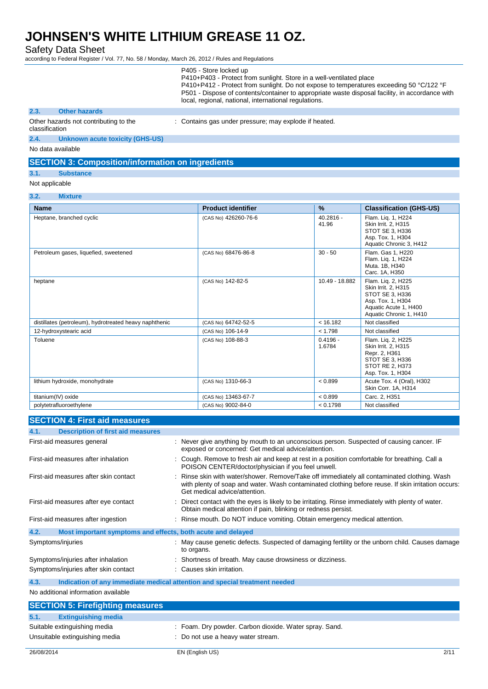Safety Data Sheet

according to Federal Register / Vol. 77, No. 58 / Monday, March 26, 2012 / Rules and Regulations

| P405 - Store locked up                                                                          |
|-------------------------------------------------------------------------------------------------|
| P410+P403 - Protect from sunlight. Store in a well-ventilated place                             |
| P410+P412 - Protect from sunlight. Do not expose to temperatures exceeding 50 °C/122 °F         |
| P501 - Dispose of contents/container to appropriate waste disposal facility, in accordance with |
| local, regional, national, international regulations.                                           |

#### **2.3. Other hazards**

Other hazards not contributing to the : Contains gas under pressure; may explode if heated.

#### classification

**2.4. Unknown acute toxicity (GHS-US)**

No data available

### **SECTION 3: Composition/information on ingredients**

- **3.1. Substance**
- Not applicable

#### **3.2. Mixture**

| <b>Name</b>                                            | <b>Product identifier</b> | $\%$                 | <b>Classification (GHS-US)</b>                                                                                                        |
|--------------------------------------------------------|---------------------------|----------------------|---------------------------------------------------------------------------------------------------------------------------------------|
| Heptane, branched cyclic                               | (CAS No) 426260-76-6      | $40.2816 -$<br>41.96 | Flam. Lig. 1, H224<br>Skin Irrit. 2. H315<br>STOT SE 3, H336<br>Asp. Tox. 1, H304<br>Aquatic Chronic 3, H412                          |
| Petroleum gases, liquefied, sweetened                  | (CAS No) 68476-86-8       | $30 - 50$            | Flam. Gas 1, H220<br>Flam. Lig. 1, H224<br>Muta. 1B, H340<br>Carc. 1A, H350                                                           |
| heptane                                                | (CAS No) 142-82-5         | 10.49 - 18.882       | Flam. Lig. 2, H225<br>Skin Irrit. 2, H315<br>STOT SE 3, H336<br>Asp. Tox. 1, H304<br>Aquatic Acute 1, H400<br>Aquatic Chronic 1, H410 |
| distillates (petroleum), hydrotreated heavy naphthenic | (CAS No) 64742-52-5       | < 16.182             | Not classified                                                                                                                        |
| 12-hydroxystearic acid                                 | (CAS No) 106-14-9         | < 1.798              | Not classified                                                                                                                        |
| Toluene                                                | (CAS No) 108-88-3         | $0.4196 -$<br>1.6784 | Flam. Lig. 2, H225<br>Skin Irrit. 2. H315<br>Repr. 2, H361<br>STOT SE 3, H336<br>STOT RE 2. H373<br>Asp. Tox. 1, H304                 |
| lithium hydroxide, monohydrate                         | (CAS No) 1310-66-3        | < 0.899              | Acute Tox. 4 (Oral), H302<br>Skin Corr. 1A, H314                                                                                      |
| titanium(IV) oxide                                     | (CAS No) 13463-67-7       | < 0.899              | Carc. 2, H351                                                                                                                         |
| polytetrafluoroethylene                                | (CAS No) 9002-84-0        | < 0.1798             | Not classified                                                                                                                        |

### **SECTION 4: First aid measures**

| 4.1.<br><b>Description of first aid measures</b>                    |                                                                                                                                                                                                                                    |
|---------------------------------------------------------------------|------------------------------------------------------------------------------------------------------------------------------------------------------------------------------------------------------------------------------------|
| First-aid measures general                                          | : Never give anything by mouth to an unconscious person. Suspected of causing cancer. IF<br>exposed or concerned: Get medical advice/attention.                                                                                    |
| First-aid measures after inhalation                                 | : Cough. Remove to fresh air and keep at rest in a position comfortable for breathing. Call a<br>POISON CENTER/doctor/physician if you feel unwell.                                                                                |
| First-aid measures after skin contact                               | : Rinse skin with water/shower. Remove/Take off immediately all contaminated clothing. Wash<br>with plenty of soap and water. Wash contaminated clothing before reuse. If skin irritation occurs:<br>Get medical advice/attention. |
| First-aid measures after eye contact                                | : Direct contact with the eyes is likely to be irritating. Rinse immediately with plenty of water.<br>Obtain medical attention if pain, blinking or redness persist.                                                               |
| First-aid measures after ingestion                                  | : Rinse mouth. Do NOT induce vomiting. Obtain emergency medical attention.                                                                                                                                                         |
| Most important symptoms and effects, both acute and delayed<br>4.2. |                                                                                                                                                                                                                                    |
| Symptoms/injuries                                                   | : May cause genetic defects. Suspected of damaging fertility or the unborn child. Causes damage<br>to organs.                                                                                                                      |
| Symptoms/injuries after inhalation                                  | : Shortness of breath. May cause drowsiness or dizziness.                                                                                                                                                                          |
| Symptoms/injuries after skin contact                                | : Causes skin irritation.                                                                                                                                                                                                          |
| 4.3.                                                                | Indication of any immediate medical attention and special treatment needed                                                                                                                                                         |
| No additional information available                                 |                                                                                                                                                                                                                                    |

| <b>SECTION 5: Firefighting measures</b> |                                                        |
|-----------------------------------------|--------------------------------------------------------|
| 5.1.<br><b>Extinguishing media</b>      |                                                        |
| Suitable extinguishing media            | : Foam. Dry powder. Carbon dioxide. Water spray. Sand. |
| Unsuitable extinguishing media          | : Do not use a heavy water stream.                     |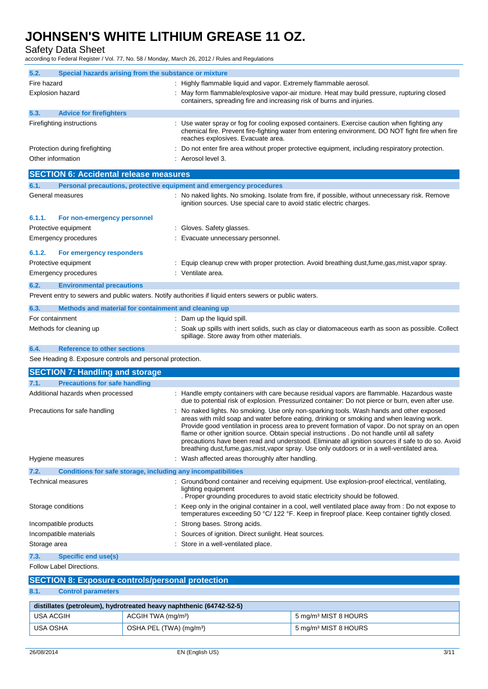Safety Data Sheet

according to Federal Register / Vol. 77, No. 58 / Monday, March 26, 2012 / Rules and Regulations

| 5.2.                                          | Special hazards arising from the substance or mixture               |  |                                                                                                                                                                                                                                        |
|-----------------------------------------------|---------------------------------------------------------------------|--|----------------------------------------------------------------------------------------------------------------------------------------------------------------------------------------------------------------------------------------|
| Fire hazard                                   |                                                                     |  | : Highly flammable liquid and vapor. Extremely flammable aerosol.                                                                                                                                                                      |
| <b>Explosion hazard</b>                       |                                                                     |  | May form flammable/explosive vapor-air mixture. Heat may build pressure, rupturing closed<br>containers, spreading fire and increasing risk of burns and injuries.                                                                     |
| 5.3.                                          | <b>Advice for firefighters</b>                                      |  |                                                                                                                                                                                                                                        |
|                                               | Firefighting instructions                                           |  | : Use water spray or fog for cooling exposed containers. Exercise caution when fighting any<br>chemical fire. Prevent fire-fighting water from entering environment. DO NOT fight fire when fire<br>reaches explosives. Evacuate area. |
|                                               | Protection during firefighting                                      |  | : Do not enter fire area without proper protective equipment, including respiratory protection.                                                                                                                                        |
| Other information                             |                                                                     |  | : Aerosol level 3.                                                                                                                                                                                                                     |
| <b>SECTION 6: Accidental release measures</b> |                                                                     |  |                                                                                                                                                                                                                                        |
| 6.1.                                          | Personal precautions, protective equipment and emergency procedures |  |                                                                                                                                                                                                                                        |
|                                               | General measures                                                    |  | No naked lights. No smoking. Isolate from fire, if possible, without unnecessary risk. Remove<br>ignition sources. Use special care to avoid static electric charges.                                                                  |

#### **6.1.1. For non-emergency personnel** Protective equipment The Contract Contract Contract Contract Contract Contract Contract Contract Contract Contract Contract Contract Contract Contract Contract Contract Contract Contract Contract Contract Contract Contract

|        | Emergency procedures            | Evacuate unnecessary personnel.                                                                |
|--------|---------------------------------|------------------------------------------------------------------------------------------------|
| 6.1.2. | <b>For emergency responders</b> |                                                                                                |
|        | Protective equipment            | Equip cleanup crew with proper protection. Avoid breathing dust, fume, gas, mist, vapor spray. |
|        | Emergency procedures            | Ventilate area.                                                                                |

### **6.2. Environmental precautions**

Prevent entry to sewers and public waters. Notify authorities if liquid enters sewers or public waters.

| 6.3.            | Methods and material for containment and cleaning up |                                                                                                     |
|-----------------|------------------------------------------------------|-----------------------------------------------------------------------------------------------------|
| For containment |                                                      | Dam up the liquid spill.                                                                            |
|                 | Methods for cleaning up                              | : Soak up spills with inert solids, such as clay or diatomaceous earth as soon as possible. Collect |
|                 |                                                      | spillage. Store away from other materials.                                                          |

#### **6.4. Reference to other sections**

See Heading 8. Exposure controls and personal protection.

| <b>SECTION 7: Handling and storage</b>                               |                                                                                                                                                                                                                                                                                                                                                                                                                                                                                                                                                                                             |
|----------------------------------------------------------------------|---------------------------------------------------------------------------------------------------------------------------------------------------------------------------------------------------------------------------------------------------------------------------------------------------------------------------------------------------------------------------------------------------------------------------------------------------------------------------------------------------------------------------------------------------------------------------------------------|
| <b>Precautions for safe handling</b><br>7.1.                         |                                                                                                                                                                                                                                                                                                                                                                                                                                                                                                                                                                                             |
| Additional hazards when processed                                    | : Handle empty containers with care because residual vapors are flammable. Hazardous waste<br>due to potential risk of explosion. Pressurized container: Do not pierce or burn, even after use.                                                                                                                                                                                                                                                                                                                                                                                             |
| Precautions for safe handling                                        | No naked lights. No smoking. Use only non-sparking tools. Wash hands and other exposed<br>areas with mild soap and water before eating, drinking or smoking and when leaving work.<br>Provide good ventilation in process area to prevent formation of vapor. Do not spray on an open<br>flame or other ignition source. Obtain special instructions . Do not handle until all safety<br>precautions have been read and understood. Eliminate all ignition sources if safe to do so. Avoid<br>breathing dust, fume, gas, mist, vapor spray. Use only outdoors or in a well-ventilated area. |
| Hygiene measures                                                     | : Wash affected areas thoroughly after handling.                                                                                                                                                                                                                                                                                                                                                                                                                                                                                                                                            |
| Conditions for safe storage, including any incompatibilities<br>7.2. |                                                                                                                                                                                                                                                                                                                                                                                                                                                                                                                                                                                             |
| Technical measures                                                   | : Ground/bond container and receiving equipment. Use explosion-proof electrical, ventilating,<br>lighting equipment<br>. Proper grounding procedures to avoid static electricity should be followed.                                                                                                                                                                                                                                                                                                                                                                                        |
| Storage conditions                                                   | : Keep only in the original container in a cool, well ventilated place away from : Do not expose to<br>temperatures exceeding 50 °C/ 122 °F. Keep in fireproof place. Keep container tightly closed.                                                                                                                                                                                                                                                                                                                                                                                        |
| Incompatible products                                                | Strong bases. Strong acids.                                                                                                                                                                                                                                                                                                                                                                                                                                                                                                                                                                 |
| Incompatible materials                                               | Sources of ignition. Direct sunlight. Heat sources.                                                                                                                                                                                                                                                                                                                                                                                                                                                                                                                                         |
| Storage area                                                         | Store in a well-ventilated place.                                                                                                                                                                                                                                                                                                                                                                                                                                                                                                                                                           |
| <b>Specific end use(s)</b><br>7.3.                                   |                                                                                                                                                                                                                                                                                                                                                                                                                                                                                                                                                                                             |

Follow Label Directions.

| <b>SECTION 8: Exposure controls/personal protection</b> |                                                                     |                                  |  |  |
|---------------------------------------------------------|---------------------------------------------------------------------|----------------------------------|--|--|
| 8.1.<br><b>Control parameters</b>                       |                                                                     |                                  |  |  |
|                                                         | distillates (petroleum), hydrotreated heavy naphthenic (64742-52-5) |                                  |  |  |
| USA ACGIH                                               | ACGIH TWA (mg/m <sup>3</sup> )                                      | 5 mg/m <sup>3</sup> MIST 8 HOURS |  |  |
| <b>USA OSHA</b>                                         | OSHA PEL (TWA) (mg/m <sup>3</sup> )                                 | 5 mg/m <sup>3</sup> MIST 8 HOURS |  |  |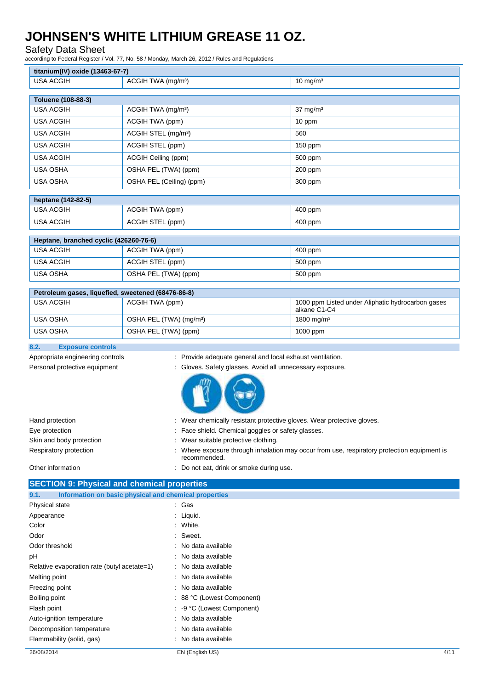## Safety Data Sheet

according to Federal Register / Vol. 77, No. 58 / Monday, March 26, 2012 / Rules and Regulations

| titanium(IV) oxide (13463-67-7)                    |                                                           |                                                                   |
|----------------------------------------------------|-----------------------------------------------------------|-------------------------------------------------------------------|
| <b>USA ACGIH</b>                                   | ACGIH TWA (mg/m <sup>3</sup> )                            | $10 \text{ mg/m}^3$                                               |
| Toluene (108-88-3)                                 |                                                           |                                                                   |
| <b>USA ACGIH</b>                                   | ACGIH TWA (mg/m <sup>3</sup> )                            | $37 \text{ mg/m}^3$                                               |
| <b>USA ACGIH</b>                                   | ACGIH TWA (ppm)                                           | 10 ppm                                                            |
| <b>USA ACGIH</b>                                   | ACGIH STEL (mg/m <sup>3</sup> )                           | 560                                                               |
|                                                    |                                                           |                                                                   |
| <b>USA ACGIH</b>                                   | ACGIH STEL (ppm)                                          | 150 ppm                                                           |
| <b>USA ACGIH</b>                                   | ACGIH Ceiling (ppm)                                       | 500 ppm                                                           |
| USA OSHA                                           | OSHA PEL (TWA) (ppm)                                      | 200 ppm                                                           |
| <b>USA OSHA</b>                                    | OSHA PEL (Ceiling) (ppm)                                  | 300 ppm                                                           |
| heptane (142-82-5)                                 |                                                           |                                                                   |
| <b>USA ACGIH</b>                                   | ACGIH TWA (ppm)                                           | 400 ppm                                                           |
| <b>USA ACGIH</b>                                   | ACGIH STEL (ppm)                                          | 400 ppm                                                           |
|                                                    |                                                           |                                                                   |
| Heptane, branched cyclic (426260-76-6)             |                                                           |                                                                   |
| <b>USA ACGIH</b>                                   | ACGIH TWA (ppm)                                           | 400 ppm                                                           |
| <b>USA ACGIH</b>                                   | ACGIH STEL (ppm)                                          | 500 ppm                                                           |
| <b>USA OSHA</b>                                    | OSHA PEL (TWA) (ppm)                                      | 500 ppm                                                           |
| Petroleum gases, liquefied, sweetened (68476-86-8) |                                                           |                                                                   |
| <b>USA ACGIH</b>                                   | ACGIH TWA (ppm)                                           | 1000 ppm Listed under Aliphatic hydrocarbon gases<br>alkane C1-C4 |
| USA OSHA                                           | OSHA PEL (TWA) (mg/m <sup>3</sup> )                       | 1800 mg/m <sup>3</sup>                                            |
| <b>USA OSHA</b>                                    | OSHA PEL (TWA) (ppm)                                      | 1000 ppm                                                          |
| 8.2.<br><b>Exposure controls</b>                   |                                                           |                                                                   |
| Appropriate engineering controls                   | Provide adequate general and local exhaust ventilation.   |                                                                   |
| Personal protective equipment                      | : Gloves. Safety glasses. Avoid all unnecessary exposure. |                                                                   |
|                                                    |                                                           |                                                                   |

| Hand protection          | : Wear chemically resistant protective gloves. Wear protective gloves.                                      |
|--------------------------|-------------------------------------------------------------------------------------------------------------|
| Eye protection           | : Face shield. Chemical goggles or safety glasses.                                                          |
| Skin and body protection | Wear suitable protective clothing.                                                                          |
| Respiratory protection   | : Where exposure through inhalation may occur from use, respiratory protection equipment is<br>recommended. |
| Other information        | : Do not eat, drink or smoke during use.                                                                    |
|                          |                                                                                                             |

|  | <b>SECTION 9: Physical and chemical properties</b> |  |
|--|----------------------------------------------------|--|
|--|----------------------------------------------------|--|

| Information on basic physical and chemical properties<br>9.1. |                            |      |
|---------------------------------------------------------------|----------------------------|------|
| Physical state                                                | : Gas                      |      |
| Appearance                                                    | $\therefore$ Liquid.       |      |
| Color                                                         | : White.                   |      |
| Odor                                                          | : Sweet.                   |      |
| Odor threshold                                                | : No data available        |      |
| pH                                                            | : No data available        |      |
| Relative evaporation rate (butyl acetate=1)                   | : No data available        |      |
| Melting point                                                 | : No data available        |      |
| Freezing point                                                | : No data available        |      |
| Boiling point                                                 | : 88 °C (Lowest Component) |      |
| Flash point                                                   | : -9 °C (Lowest Component) |      |
| Auto-ignition temperature                                     | : No data available        |      |
| Decomposition temperature                                     | : No data available        |      |
| Flammability (solid, gas)                                     | : No data available        |      |
| 26/08/2014                                                    | EN (English US)            | 4/11 |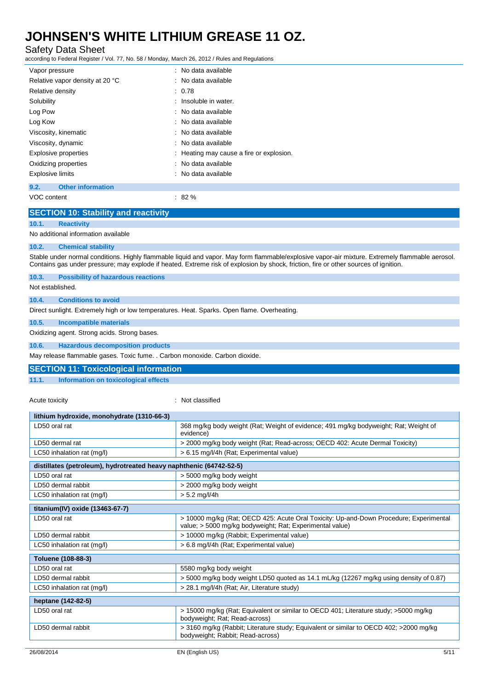Safety Data Sheet

according to Federal Register / Vol. 77, No. 58 / Monday, March 26, 2012 / Rules and Regulations

| Vapor pressure                   | : No data available                      |
|----------------------------------|------------------------------------------|
| Relative vapor density at 20 °C  | $\therefore$ No data available           |
| Relative density                 | : 0.78                                   |
| Solubility                       | : Insoluble in water.                    |
| Log Pow                          | $\therefore$ No data available           |
| Log Kow                          | : No data available                      |
| Viscosity, kinematic             | : No data available                      |
| Viscosity, dynamic               | $\therefore$ No data available           |
| <b>Explosive properties</b>      | : Heating may cause a fire or explosion. |
| Oxidizing properties             | : No data available                      |
| <b>Explosive limits</b>          | : No data available                      |
| <b>Other information</b><br>9.2. |                                          |

VOC content : 82 %

### **SECTION 10: Stability and reactivity**

**10.1. Reactivity**

No additional information available

#### **10.2. Chemical stability**

Stable under normal conditions. Highly flammable liquid and vapor. May form flammable/explosive vapor-air mixture. Extremely flammable aerosol. Contains gas under pressure; may explode if heated. Extreme risk of explosion by shock, friction, fire or other sources of ignition.

| 10.3. | <b>Possibility of hazardous reactions</b> |
|-------|-------------------------------------------|
|       |                                           |

Not established.

### **10.4. Conditions to avoid**

Direct sunlight. Extremely high or low temperatures. Heat. Sparks. Open flame. Overheating.

#### **10.5. Incompatible materials**

Oxidizing agent. Strong acids. Strong bases.

### **10.6. Hazardous decomposition products**

May release flammable gases. Toxic fume. . Carbon monoxide. Carbon dioxide.

#### **SECTION 11: Toxicological information**

**11.1. Information on toxicological effects**

Acute toxicity **in the case of the contract of the classified**  $\cdot$  Not classified

| lithium hydroxide, monohydrate (1310-66-3)                          |                                                                                                                                                    |
|---------------------------------------------------------------------|----------------------------------------------------------------------------------------------------------------------------------------------------|
| LD50 oral rat                                                       | 368 mg/kg body weight (Rat; Weight of evidence; 491 mg/kg bodyweight; Rat; Weight of<br>evidence)                                                  |
| LD50 dermal rat                                                     | > 2000 mg/kg body weight (Rat; Read-across; OECD 402: Acute Dermal Toxicity)                                                                       |
| LC50 inhalation rat (mg/l)                                          | > 6.15 mg/l/4h (Rat; Experimental value)                                                                                                           |
| distillates (petroleum), hydrotreated heavy naphthenic (64742-52-5) |                                                                                                                                                    |
| LD50 oral rat                                                       | > 5000 mg/kg body weight                                                                                                                           |
| LD50 dermal rabbit                                                  | > 2000 mg/kg body weight                                                                                                                           |
| LC50 inhalation rat (mg/l)                                          | $> 5.2$ mg/l/4h                                                                                                                                    |
| titanium(IV) oxide (13463-67-7)                                     |                                                                                                                                                    |
| LD50 oral rat                                                       | > 10000 mg/kg (Rat: OECD 425: Acute Oral Toxicity: Up-and-Down Procedure: Experimental<br>value; > 5000 mg/kg bodyweight; Rat; Experimental value) |
| LD50 dermal rabbit                                                  | > 10000 mg/kg (Rabbit; Experimental value)                                                                                                         |
| LC50 inhalation rat (mg/l)                                          | > 6.8 mg/l/4h (Rat; Experimental value)                                                                                                            |
| Toluene (108-88-3)                                                  |                                                                                                                                                    |
| LD50 oral rat                                                       | 5580 mg/kg body weight                                                                                                                             |
| LD50 dermal rabbit                                                  | > 5000 mg/kg body weight LD50 quoted as 14.1 mL/kg (12267 mg/kg using density of 0.87)                                                             |
| LC50 inhalation rat (mg/l)                                          | > 28.1 mg/l/4h (Rat; Air, Literature study)                                                                                                        |
| heptane (142-82-5)                                                  |                                                                                                                                                    |
| LD50 oral rat                                                       | > 15000 mg/kg (Rat; Equivalent or similar to OECD 401; Literature study; >5000 mg/kg<br>bodyweight; Rat; Read-across)                              |
| LD50 dermal rabbit                                                  | > 3160 mg/kg (Rabbit; Literature study; Equivalent or similar to OECD 402; >2000 mg/kg<br>bodyweight; Rabbit; Read-across)                         |
| 26/08/2014                                                          | EN (English US)<br>5/11                                                                                                                            |
|                                                                     |                                                                                                                                                    |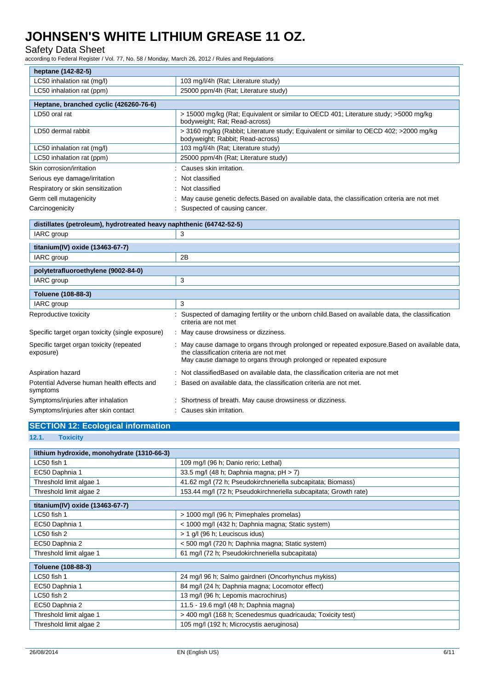### Safety Data Sheet

according to Federal Register / Vol. 77, No. 58 / Monday, March 26, 2012 / Rules and Regulations

| heptane (142-82-5)                                                  |                                                                                                                                                                                                             |  |
|---------------------------------------------------------------------|-------------------------------------------------------------------------------------------------------------------------------------------------------------------------------------------------------------|--|
| LC50 inhalation rat (mg/l)                                          | 103 mg/l/4h (Rat; Literature study)                                                                                                                                                                         |  |
| LC50 inhalation rat (ppm)                                           | 25000 ppm/4h (Rat; Literature study)                                                                                                                                                                        |  |
| Heptane, branched cyclic (426260-76-6)                              |                                                                                                                                                                                                             |  |
| LD50 oral rat                                                       | > 15000 mg/kg (Rat; Equivalent or similar to OECD 401; Literature study; >5000 mg/kg<br>bodyweight; Rat; Read-across)                                                                                       |  |
| LD50 dermal rabbit                                                  | > 3160 mg/kg (Rabbit; Literature study; Equivalent or similar to OECD 402; > 2000 mg/kg<br>bodyweight; Rabbit; Read-across)                                                                                 |  |
| LC50 inhalation rat (mg/l)                                          | 103 mg/l/4h (Rat; Literature study)                                                                                                                                                                         |  |
| LC50 inhalation rat (ppm)                                           | 25000 ppm/4h (Rat; Literature study)                                                                                                                                                                        |  |
| Skin corrosion/irritation                                           | Causes skin irritation.                                                                                                                                                                                     |  |
| Serious eye damage/irritation                                       | Not classified                                                                                                                                                                                              |  |
| Respiratory or skin sensitization                                   | Not classified                                                                                                                                                                                              |  |
| Germ cell mutagenicity                                              | May cause genetic defects. Based on available data, the classification criteria are not met                                                                                                                 |  |
| Carcinogenicity                                                     | : Suspected of causing cancer.                                                                                                                                                                              |  |
| distillates (petroleum), hydrotreated heavy naphthenic (64742-52-5) |                                                                                                                                                                                                             |  |
| IARC group                                                          | 3                                                                                                                                                                                                           |  |
|                                                                     |                                                                                                                                                                                                             |  |
| titanium(IV) oxide (13463-67-7)                                     |                                                                                                                                                                                                             |  |
| IARC group                                                          | 2B                                                                                                                                                                                                          |  |
|                                                                     |                                                                                                                                                                                                             |  |
| polytetrafluoroethylene (9002-84-0)<br>IARC group                   | 3                                                                                                                                                                                                           |  |
|                                                                     |                                                                                                                                                                                                             |  |
| Toluene (108-88-3)<br>IARC group                                    | 3                                                                                                                                                                                                           |  |
| Reproductive toxicity                                               | Suspected of damaging fertility or the unborn child. Based on available data, the classification<br>criteria are not met                                                                                    |  |
| Specific target organ toxicity (single exposure)                    | : May cause drowsiness or dizziness.                                                                                                                                                                        |  |
| Specific target organ toxicity (repeated<br>exposure)               | May cause damage to organs through prolonged or repeated exposure. Based on available data,<br>the classification criteria are not met<br>May cause damage to organs through prolonged or repeated exposure |  |
| Aspiration hazard                                                   | : Not classified Based on available data, the classification criteria are not met                                                                                                                           |  |
| Potential Adverse human health effects and<br>symptoms              | Based on available data, the classification criteria are not met.                                                                                                                                           |  |
| Symptoms/injuries after inhalation                                  | : Shortness of breath. May cause drowsiness or dizziness.                                                                                                                                                   |  |

## **SECTION 12: Ecological information**

**<sup>12.1.</sup> Toxicity**

| lithium hydroxide, monohydrate (1310-66-3) |                                                                  |
|--------------------------------------------|------------------------------------------------------------------|
| LC50 fish 1                                | 109 mg/l (96 h; Danio rerio; Lethal)                             |
| EC50 Daphnia 1                             | 33.5 mg/l (48 h; Daphnia magna; $pH > 7$ )                       |
| Threshold limit algae 1                    | 41.62 mg/l (72 h; Pseudokirchneriella subcapitata; Biomass)      |
| Threshold limit algae 2                    | 153.44 mg/l (72 h; Pseudokirchneriella subcapitata; Growth rate) |
| titanium(IV) oxide (13463-67-7)            |                                                                  |
| LC50 fish 1                                | > 1000 mg/l (96 h; Pimephales promelas)                          |
| EC50 Daphnia 1                             | < 1000 mg/l (432 h; Daphnia magna; Static system)                |
| LC50 fish 2                                | > 1 g/l (96 h; Leuciscus idus)                                   |
| EC50 Daphnia 2                             | < 500 mg/l (720 h; Daphnia magna; Static system)                 |
| Threshold limit algae 1                    | 61 mg/l (72 h; Pseudokirchneriella subcapitata)                  |
| Toluene (108-88-3)                         |                                                                  |
| LC50 fish 1                                | 24 mg/l 96 h; Salmo gairdneri (Oncorhynchus mykiss)              |
| EC50 Daphnia 1                             | 84 mg/l (24 h; Daphnia magna; Locomotor effect)                  |
| LC50 fish 2                                | 13 mg/l (96 h; Lepomis macrochirus)                              |
| EC50 Daphnia 2                             | 11.5 - 19.6 mg/l (48 h; Daphnia magna)                           |
| Threshold limit algae 1                    | > 400 mg/l (168 h; Scenedesmus quadricauda; Toxicity test)       |
| Threshold limit algae 2                    | 105 mg/l (192 h; Microcystis aeruginosa)                         |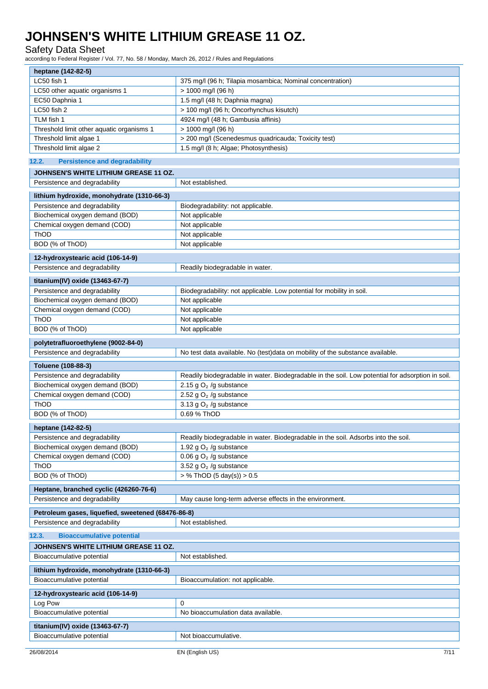### Safety Data Sheet

according to Federal Register / Vol. 77, No. 58 / Monday, March 26, 2012 / Rules and Regulations

| iccording to Federal Register / Vol. 77, NO. 307 Monday, March 20, 2012 / Rules and Regulations |                                                                                                  |  |
|-------------------------------------------------------------------------------------------------|--------------------------------------------------------------------------------------------------|--|
| heptane (142-82-5)                                                                              |                                                                                                  |  |
| LC50 fish 1                                                                                     | 375 mg/l (96 h; Tilapia mosambica; Nominal concentration)                                        |  |
| LC50 other aquatic organisms 1                                                                  | > 1000 mg/l (96 h)                                                                               |  |
| EC50 Daphnia 1                                                                                  | 1.5 mg/l (48 h; Daphnia magna)                                                                   |  |
| LC50 fish 2                                                                                     | > 100 mg/l (96 h; Oncorhynchus kisutch)                                                          |  |
| TLM fish 1                                                                                      | 4924 mg/l (48 h; Gambusia affinis)                                                               |  |
| Threshold limit other aquatic organisms 1                                                       | > 1000 mg/l (96 h)                                                                               |  |
| Threshold limit algae 1                                                                         | > 200 mg/l (Scenedesmus quadricauda; Toxicity test)                                              |  |
| Threshold limit algae 2                                                                         | 1.5 mg/l (8 h; Algae; Photosynthesis)                                                            |  |
| 12.2.<br><b>Persistence and degradability</b>                                                   |                                                                                                  |  |
|                                                                                                 |                                                                                                  |  |
| JOHNSEN'S WHITE LITHIUM GREASE 11 OZ.                                                           |                                                                                                  |  |
| Persistence and degradability                                                                   | Not established.                                                                                 |  |
| lithium hydroxide, monohydrate (1310-66-3)                                                      |                                                                                                  |  |
| Persistence and degradability                                                                   | Biodegradability: not applicable.                                                                |  |
| Biochemical oxygen demand (BOD)                                                                 | Not applicable                                                                                   |  |
| Chemical oxygen demand (COD)                                                                    | Not applicable                                                                                   |  |
| ThOD                                                                                            | Not applicable                                                                                   |  |
| BOD (% of ThOD)                                                                                 | Not applicable                                                                                   |  |
| 12-hydroxystearic acid (106-14-9)                                                               |                                                                                                  |  |
| Persistence and degradability                                                                   | Readily biodegradable in water.                                                                  |  |
|                                                                                                 |                                                                                                  |  |
| titanium(IV) oxide (13463-67-7)                                                                 |                                                                                                  |  |
| Persistence and degradability                                                                   | Biodegradability: not applicable. Low potential for mobility in soil.                            |  |
| Biochemical oxygen demand (BOD)                                                                 | Not applicable                                                                                   |  |
| Chemical oxygen demand (COD)                                                                    | Not applicable                                                                                   |  |
| ThOD                                                                                            | Not applicable                                                                                   |  |
| BOD (% of ThOD)                                                                                 | Not applicable                                                                                   |  |
| polytetrafluoroethylene (9002-84-0)                                                             |                                                                                                  |  |
| Persistence and degradability                                                                   | No test data available. No (test)data on mobility of the substance available.                    |  |
| Toluene (108-88-3)                                                                              |                                                                                                  |  |
| Persistence and degradability                                                                   | Readily biodegradable in water. Biodegradable in the soil. Low potential for adsorption in soil. |  |
| Biochemical oxygen demand (BOD)                                                                 | 2.15 g $O2$ /g substance                                                                         |  |
| Chemical oxygen demand (COD)                                                                    | 2.52 g $O2$ /g substance                                                                         |  |
| ThOD                                                                                            | 3.13 g $O2$ /g substance                                                                         |  |
| BOD (% of ThOD)                                                                                 | 0.69 % ThOD                                                                                      |  |
|                                                                                                 |                                                                                                  |  |
| heptane (142-82-5)                                                                              |                                                                                                  |  |
| Persistence and degradability                                                                   | Readily biodegradable in water. Biodegradable in the soil. Adsorbs into the soil.                |  |
| Biochemical oxygen demand (BOD)                                                                 | 1.92 g $O2$ /g substance                                                                         |  |
| Chemical oxygen demand (COD)                                                                    | 0.06 g $O2$ /g substance                                                                         |  |
| ThOD                                                                                            | 3.52 g $O2$ /g substance                                                                         |  |
| BOD (% of ThOD)                                                                                 | $>$ % ThOD (5 day(s)) $>$ 0.5                                                                    |  |
| Heptane, branched cyclic (426260-76-6)                                                          |                                                                                                  |  |
| Persistence and degradability                                                                   | May cause long-term adverse effects in the environment.                                          |  |
|                                                                                                 |                                                                                                  |  |
| Petroleum gases, liquefied, sweetened (68476-86-8)<br>Persistence and degradability             | Not established.                                                                                 |  |
|                                                                                                 |                                                                                                  |  |
| <b>Bioaccumulative potential</b><br>12.3.                                                       |                                                                                                  |  |
| JOHNSEN'S WHITE LITHIUM GREASE 11 OZ.                                                           |                                                                                                  |  |
| Bioaccumulative potential                                                                       | Not established.                                                                                 |  |
| lithium hydroxide, monohydrate (1310-66-3)                                                      |                                                                                                  |  |
| Bioaccumulative potential                                                                       | Bioaccumulation: not applicable.                                                                 |  |
| 12-hydroxystearic acid (106-14-9)                                                               |                                                                                                  |  |
| Log Pow                                                                                         | $\mathbf 0$                                                                                      |  |
| Bioaccumulative potential                                                                       | No bioaccumulation data available.                                                               |  |
|                                                                                                 |                                                                                                  |  |
| titanium(IV) oxide (13463-67-7)                                                                 |                                                                                                  |  |
| Bioaccumulative potential                                                                       | Not bioaccumulative.                                                                             |  |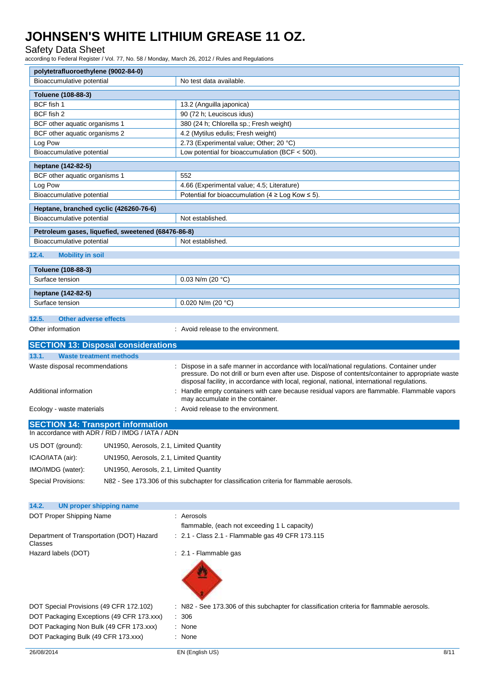### Safety Data Sheet

according to Federal Register / Vol. 77, No. 58 / Monday, March 26, 2012 / Rules and Regulations

| polytetrafluoroethylene (9002-84-0)                                                          |                                                                                                                                                                                                                                                                                             |  |
|----------------------------------------------------------------------------------------------|---------------------------------------------------------------------------------------------------------------------------------------------------------------------------------------------------------------------------------------------------------------------------------------------|--|
| Bioaccumulative potential                                                                    | No test data available.                                                                                                                                                                                                                                                                     |  |
| Toluene (108-88-3)                                                                           |                                                                                                                                                                                                                                                                                             |  |
| BCF fish 1                                                                                   | 13.2 (Anguilla japonica)                                                                                                                                                                                                                                                                    |  |
| BCF fish 2                                                                                   | 90 (72 h; Leuciscus idus)                                                                                                                                                                                                                                                                   |  |
| BCF other aquatic organisms 1                                                                | 380 (24 h; Chlorella sp.; Fresh weight)                                                                                                                                                                                                                                                     |  |
| BCF other aquatic organisms 2                                                                | 4.2 (Mytilus edulis; Fresh weight)                                                                                                                                                                                                                                                          |  |
| Log Pow                                                                                      | 2.73 (Experimental value; Other; 20 °C)                                                                                                                                                                                                                                                     |  |
| Bioaccumulative potential                                                                    | Low potential for bioaccumulation (BCF < 500).                                                                                                                                                                                                                                              |  |
| heptane (142-82-5)                                                                           |                                                                                                                                                                                                                                                                                             |  |
| BCF other aquatic organisms 1<br>552                                                         |                                                                                                                                                                                                                                                                                             |  |
| Log Pow                                                                                      | 4.66 (Experimental value; 4.5; Literature)                                                                                                                                                                                                                                                  |  |
| Bioaccumulative potential                                                                    | Potential for bioaccumulation (4 $\geq$ Log Kow $\leq$ 5).                                                                                                                                                                                                                                  |  |
| Heptane, branched cyclic (426260-76-6)                                                       |                                                                                                                                                                                                                                                                                             |  |
| Bioaccumulative potential                                                                    | Not established.                                                                                                                                                                                                                                                                            |  |
| Petroleum gases, liquefied, sweetened (68476-86-8)                                           |                                                                                                                                                                                                                                                                                             |  |
| Bioaccumulative potential                                                                    | Not established.                                                                                                                                                                                                                                                                            |  |
| 12.4.<br><b>Mobility in soil</b>                                                             |                                                                                                                                                                                                                                                                                             |  |
|                                                                                              |                                                                                                                                                                                                                                                                                             |  |
| Toluene (108-88-3)                                                                           |                                                                                                                                                                                                                                                                                             |  |
| Surface tension                                                                              | 0.03 N/m (20 $°C$ )                                                                                                                                                                                                                                                                         |  |
| heptane (142-82-5)                                                                           |                                                                                                                                                                                                                                                                                             |  |
| Surface tension                                                                              | 0.020 N/m (20 $°C$ )                                                                                                                                                                                                                                                                        |  |
| 12.5.<br><b>Other adverse effects</b>                                                        |                                                                                                                                                                                                                                                                                             |  |
| Other information                                                                            | : Avoid release to the environment.                                                                                                                                                                                                                                                         |  |
|                                                                                              |                                                                                                                                                                                                                                                                                             |  |
| <b>SECTION 13: Disposal considerations</b>                                                   |                                                                                                                                                                                                                                                                                             |  |
| 13.1.<br><b>Waste treatment methods</b>                                                      |                                                                                                                                                                                                                                                                                             |  |
| Waste disposal recommendations                                                               | Dispose in a safe manner in accordance with local/national regulations. Container under<br>pressure. Do not drill or burn even after use. Dispose of contents/container to appropriate waste<br>disposal facility, in accordance with local, regional, national, international regulations. |  |
| Additional information                                                                       | Handle empty containers with care because residual vapors are flammable. Flammable vapors<br>may accumulate in the container.                                                                                                                                                               |  |
| Ecology - waste materials                                                                    | Avoid release to the environment.                                                                                                                                                                                                                                                           |  |
| <b>SECTION 14: Transport information</b><br>In accordance with ADR / RID / IMDG / IATA / ADN |                                                                                                                                                                                                                                                                                             |  |
| US DOT (ground):                                                                             | UN1950, Aerosols, 2.1, Limited Quantity                                                                                                                                                                                                                                                     |  |
| ICAO/IATA (air):                                                                             | UN1950, Aerosols, 2.1, Limited Quantity                                                                                                                                                                                                                                                     |  |
| IMO/IMDG (water):                                                                            | UN1950, Aerosols, 2.1, Limited Quantity                                                                                                                                                                                                                                                     |  |
|                                                                                              |                                                                                                                                                                                                                                                                                             |  |
| <b>Special Provisions:</b>                                                                   | N82 - See 173.306 of this subchapter for classification criteria for flammable aerosols.                                                                                                                                                                                                    |  |
|                                                                                              |                                                                                                                                                                                                                                                                                             |  |
| 14.2.<br><b>UN proper shipping name</b>                                                      |                                                                                                                                                                                                                                                                                             |  |
| DOT Proper Shipping Name                                                                     | Aerosols                                                                                                                                                                                                                                                                                    |  |
| Department of Transportation (DOT) Hazard<br>Classes                                         | flammable, (each not exceeding 1 L capacity)<br>: 2.1 - Class 2.1 - Flammable gas 49 CFR 173.115                                                                                                                                                                                            |  |
| Hazard labels (DOT)                                                                          | : 2.1 - Flammable gas                                                                                                                                                                                                                                                                       |  |
|                                                                                              |                                                                                                                                                                                                                                                                                             |  |
| DOT Special Provisions (49 CFR 172.102)                                                      | : N82 - See 173.306 of this subchapter for classification criteria for flammable aerosols.                                                                                                                                                                                                  |  |
| DOT Packaging Exceptions (49 CFR 173.xxx)                                                    | 306                                                                                                                                                                                                                                                                                         |  |
| DOT Packaging Non Bulk (49 CFR 173.xxx)                                                      | : None                                                                                                                                                                                                                                                                                      |  |
| DOT Packaging Bulk (49 CFR 173.xxx)                                                          | : None                                                                                                                                                                                                                                                                                      |  |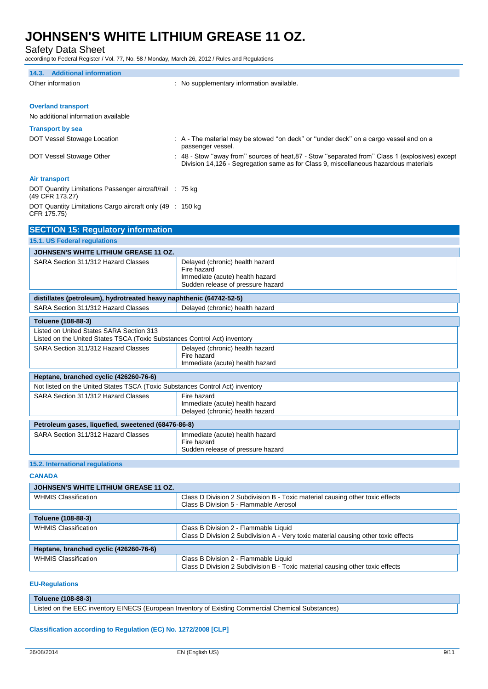Safety Data Sheet

according to Federal Register / Vol. 77, No. 58 / Monday, March 26, 2012 / Rules and Regulations

| 14.3. Additional information                                                                                          |                                                                                                                                                                                         |  |
|-----------------------------------------------------------------------------------------------------------------------|-----------------------------------------------------------------------------------------------------------------------------------------------------------------------------------------|--|
| Other information                                                                                                     | : No supplementary information available.                                                                                                                                               |  |
|                                                                                                                       |                                                                                                                                                                                         |  |
| <b>Overland transport</b>                                                                                             |                                                                                                                                                                                         |  |
| No additional information available                                                                                   |                                                                                                                                                                                         |  |
|                                                                                                                       |                                                                                                                                                                                         |  |
| <b>Transport by sea</b>                                                                                               |                                                                                                                                                                                         |  |
| DOT Vessel Stowage Location                                                                                           | : A - The material may be stowed "on deck" or "under deck" on a cargo vessel and on a<br>passenger vessel.                                                                              |  |
| DOT Vessel Stowage Other                                                                                              | : 48 - Stow "away from" sources of heat, 87 - Stow "separated from" Class 1 (explosives) except<br>Division 14,126 - Segregation same as for Class 9, miscellaneous hazardous materials |  |
| <b>Air transport</b>                                                                                                  |                                                                                                                                                                                         |  |
| DOT Quantity Limitations Passenger aircraft/rail : 75 kg<br>(49 CFR 173.27)                                           |                                                                                                                                                                                         |  |
| DOT Quantity Limitations Cargo aircraft only (49 : 150 kg<br>CFR 175.75)                                              |                                                                                                                                                                                         |  |
| <b>SECTION 15: Regulatory information</b>                                                                             |                                                                                                                                                                                         |  |
| 15.1. US Federal regulations                                                                                          |                                                                                                                                                                                         |  |
| <b>JOHNSEN'S WHITE LITHIUM GREASE 11 OZ.</b>                                                                          |                                                                                                                                                                                         |  |
| SARA Section 311/312 Hazard Classes                                                                                   | Delayed (chronic) health hazard                                                                                                                                                         |  |
|                                                                                                                       | Fire hazard                                                                                                                                                                             |  |
|                                                                                                                       | Immediate (acute) health hazard                                                                                                                                                         |  |
|                                                                                                                       | Sudden release of pressure hazard                                                                                                                                                       |  |
| distillates (petroleum), hydrotreated heavy naphthenic (64742-52-5)                                                   |                                                                                                                                                                                         |  |
| SARA Section 311/312 Hazard Classes                                                                                   | Delayed (chronic) health hazard                                                                                                                                                         |  |
| Toluene (108-88-3)                                                                                                    |                                                                                                                                                                                         |  |
| Listed on United States SARA Section 313<br>Listed on the United States TSCA (Toxic Substances Control Act) inventory |                                                                                                                                                                                         |  |
| SARA Section 311/312 Hazard Classes                                                                                   | Delayed (chronic) health hazard                                                                                                                                                         |  |
|                                                                                                                       | Fire hazard                                                                                                                                                                             |  |
|                                                                                                                       | Immediate (acute) health hazard                                                                                                                                                         |  |
| Heptane, branched cyclic (426260-76-6)                                                                                |                                                                                                                                                                                         |  |
| Not listed on the United States TSCA (Toxic Substances Control Act) inventory                                         |                                                                                                                                                                                         |  |
| SARA Section 311/312 Hazard Classes                                                                                   | Fire hazard                                                                                                                                                                             |  |
|                                                                                                                       | Immediate (acute) health hazard                                                                                                                                                         |  |
|                                                                                                                       | Delayed (chronic) health hazard                                                                                                                                                         |  |
| Petroleum gases, liquefied, sweetened (68476-86-8)                                                                    |                                                                                                                                                                                         |  |
| SARA Section 311/312 Hazard Classes                                                                                   | Immediate (acute) health hazard                                                                                                                                                         |  |
|                                                                                                                       | Fire hazard<br>Sudden release of pressure hazard                                                                                                                                        |  |
|                                                                                                                       |                                                                                                                                                                                         |  |
| 15.2. International regulations                                                                                       |                                                                                                                                                                                         |  |
| <b>CANADA</b>                                                                                                         |                                                                                                                                                                                         |  |
| <b>JOHNSEN'S WHITE LITHIUM GREASE 11 OZ.</b>                                                                          |                                                                                                                                                                                         |  |
| <b>WHMIS Classification</b>                                                                                           | Class D Division 2 Subdivision B - Toxic material causing other toxic effects<br>Class B Division 5 - Flammable Aerosol                                                                 |  |
| Toluene (108-88-3)                                                                                                    |                                                                                                                                                                                         |  |
| <b>WHMIS Classification</b>                                                                                           | Class B Division 2 - Flammable Liquid                                                                                                                                                   |  |
|                                                                                                                       | Class D Division 2 Subdivision A - Very toxic material causing other toxic effects                                                                                                      |  |
| Heptane, branched cyclic (426260-76-6)                                                                                |                                                                                                                                                                                         |  |

#### **EU-Regulations**

**Toluene (108-88-3)** Listed on the EEC inventory EINECS (European Inventory of Existing Commercial Chemical Substances)

Class D Division 2 Subdivision B - Toxic material causing other toxic effects

#### **Classification according to Regulation (EC) No. 1272/2008 [CLP]**

WHMIS Classification Class B Division 2 - Flammable Liquid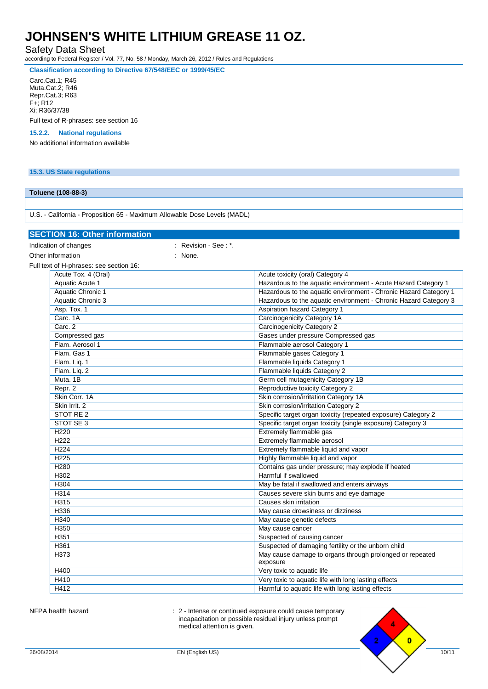Safety Data Sheet

according to Federal Register / Vol. 77, No. 58 / Monday, March 26, 2012 / Rules and Regulations

**Classification according to Directive 67/548/EEC or 1999/45/EC**

Carc.Cat.1; R45

Muta.Cat.2; R46 Repr.Cat.3; R63 F+; R12 Xi; R36/37/38

Full text of R-phrases: see section 16

### **15.2.2. National regulations**

No additional information available

#### **15.3. US State regulations**

### **Toluene (108-88-3)**

U.S. - California - Proposition 65 - Maximum Allowable Dose Levels (MADL)

| <b>SECTION 16: Other information</b>    |                      |                                                                      |
|-----------------------------------------|----------------------|----------------------------------------------------------------------|
| Indication of changes                   | : Revision - See: *. |                                                                      |
| Other information                       | : None.              |                                                                      |
| Full text of H-phrases: see section 16: |                      |                                                                      |
| Acute Tox. 4 (Oral)                     |                      | Acute toxicity (oral) Category 4                                     |
| Aquatic Acute 1                         |                      | Hazardous to the aquatic environment - Acute Hazard Category 1       |
| <b>Aquatic Chronic 1</b>                |                      | Hazardous to the aquatic environment - Chronic Hazard Category 1     |
| <b>Aquatic Chronic 3</b>                |                      | Hazardous to the aquatic environment - Chronic Hazard Category 3     |
| Asp. Tox. 1                             |                      | <b>Aspiration hazard Category 1</b>                                  |
| Carc. 1A                                |                      | <b>Carcinogenicity Category 1A</b>                                   |
| Carc. 2                                 |                      | <b>Carcinogenicity Category 2</b>                                    |
| Compressed gas                          |                      | Gases under pressure Compressed gas                                  |
| Flam. Aerosol 1                         |                      | Flammable aerosol Category 1                                         |
| Flam. Gas 1                             |                      | Flammable gases Category 1                                           |
| Flam. Lig. 1                            |                      | Flammable liquids Category 1                                         |
| Flam. Liq. 2                            |                      | Flammable liquids Category 2                                         |
| Muta, 1B                                |                      | Germ cell mutagenicity Category 1B                                   |
| Repr. 2                                 |                      | Reproductive toxicity Category 2                                     |
| Skin Corr. 1A                           |                      | Skin corrosion/irritation Category 1A                                |
| Skin Irrit. 2                           |                      | Skin corrosion/irritation Category 2                                 |
| STOT RE <sub>2</sub>                    |                      | Specific target organ toxicity (repeated exposure) Category 2        |
| STOT SE 3                               |                      | Specific target organ toxicity (single exposure) Category 3          |
| H <sub>220</sub>                        |                      | Extremely flammable gas                                              |
| H <sub>222</sub>                        |                      | Extremely flammable aerosol                                          |
| H <sub>224</sub>                        |                      | Extremely flammable liquid and vapor                                 |
| H <sub>225</sub>                        |                      | Highly flammable liquid and vapor                                    |
| <b>H280</b>                             |                      | Contains gas under pressure; may explode if heated                   |
| H302                                    |                      | Harmful if swallowed                                                 |
| H304                                    |                      | May be fatal if swallowed and enters airways                         |
| H314                                    |                      | Causes severe skin burns and eye damage                              |
| H315                                    |                      | <b>Causes skin irritation</b>                                        |
| H336                                    |                      | May cause drowsiness or dizziness                                    |
| H340                                    |                      | May cause genetic defects                                            |
| H350                                    |                      | May cause cancer                                                     |
| H351                                    |                      | Suspected of causing cancer                                          |
| H361                                    |                      | Suspected of damaging fertility or the unborn child                  |
| H373                                    |                      | May cause damage to organs through prolonged or repeated<br>exposure |
| H400                                    |                      | Very toxic to aquatic life                                           |
| <b>H410</b>                             |                      | Very toxic to aquatic life with long lasting effects                 |
| H412                                    |                      | Harmful to aquatic life with long lasting effects                    |

NFPA health hazard **interval in the state of the state of continued exposure could cause temporary**  $\cdot$ incapacitation or possible residual injury unless prompt medical attention is given.